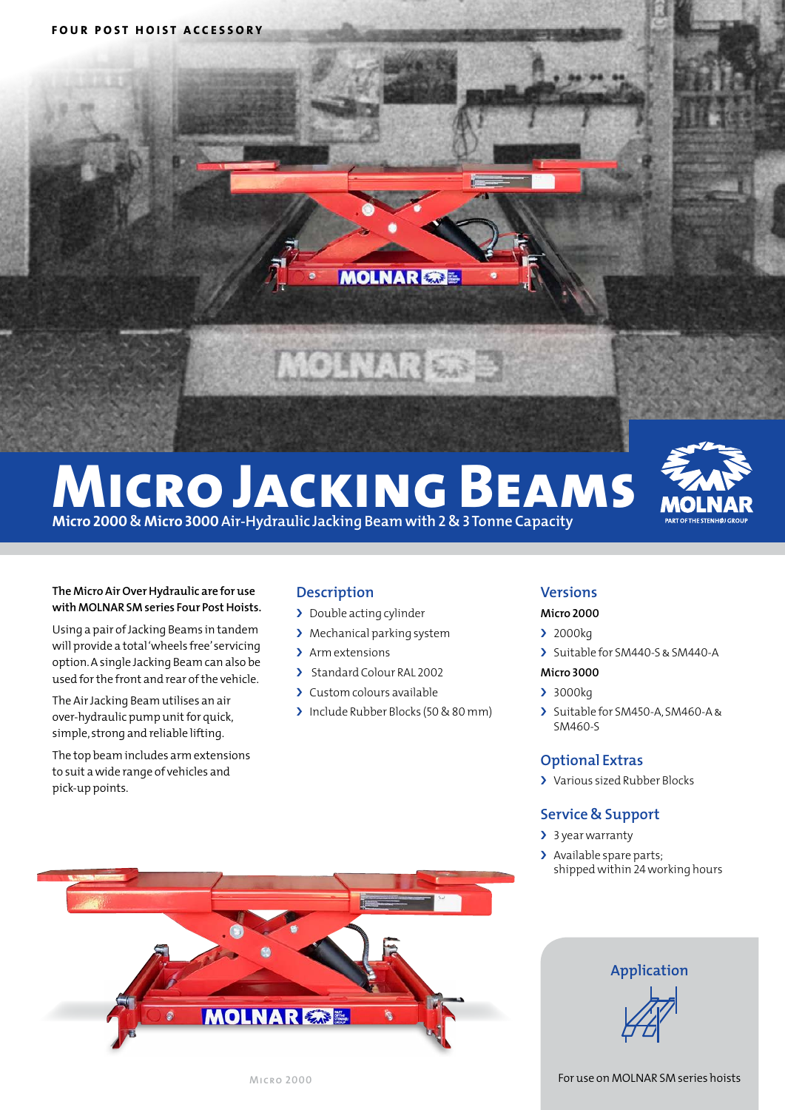

# **Micro Jacking Beams Micro 2000 & Micro 3000 Air-Hydraulic Jacking Beam with 2 & 3 Tonne Capacity**



#### **The Micro Air Over Hydraulic are for use with MOLNAR SM series Four Post Hoists.**

Using a pair of Jacking Beams in tandem will provide a total 'wheels free' servicing option. A single Jacking Beam can also be used for the front and rear of the vehicle.

The Air Jacking Beam utilises an air over-hydraulic pump unit for quick, simple, strong and reliable lifting.

The top beam includes arm extensions to suit a wide range of vehicles and pick-up points.

# **Description**

- > Double acting cylinder
- › Mechanical parking system
- > Arm extensions
- > Standard Colour RAL 2002
- › Custom colours available
- > Include Rubber Blocks (50 & 80 mm)

### **Versions**

#### **Micro 2000**

#### › 2000kg

> Suitable for SM440-S & SM440-A

#### **Micro 3000**

- › 3000kg
- › Suitable for SM450-A,SM460-A& SM460-S

# **Optional Extras**

› Various sized Rubber Blocks

## **Service & Support**

- > 3 year warranty
- > Available spare parts: shippedwithin 24working hours